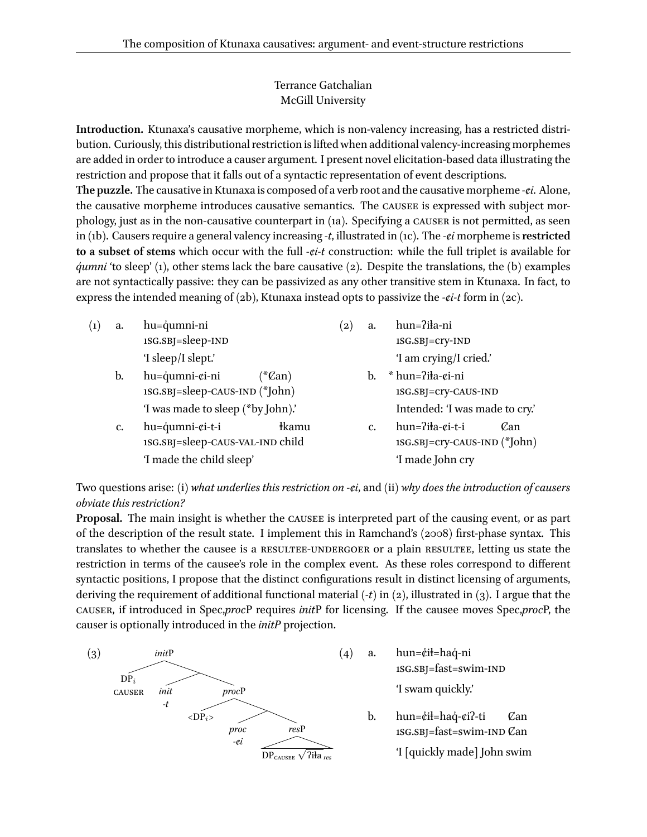## Terrance Gatchalian McGill University

**Introduction.** Ktunaxa's causative morpheme, which is non-valency increasing, has a restricted distribution. Curiously, this distributional restriction is lifted when additional valency-increasing morphemes are added in order to introduce a causer argument. I present novel elicitation-based data illustrating the restriction and propose that it falls out of a syntactic representation of event descriptions.

**The puzzle.** The causative in Ktunaxa is composed of a verb root and the causative morpheme *-ȼi*. Alone, the causative morpheme introduces causative semantics. The CAUSEE is expressed with subject morphology, just as in the non-causative counterpart in (1a). Specifying a causer is not permitted, as seen in (1b). Causers require a general valency increasing *-t*, illustrated in (1c). The *-ȼi* morpheme is**restricted to a subset of stems** which occur with the full *-ȼi-t* construction: while the full triplet is available for *dumni* 'to sleep' (1), other stems lack the bare causative (2). Despite the translations, the (b) examples are not syntactically passive: they can be passivized as any other transitive stem in Ktunaxa. In fact, to express the intended meaning of (2b), Ktunaxa instead opts to passivize the *-¢i-t* form in (2c).

| $\left( 1\right)$ | a. | hu=qumni-ni                                   |  | $\left( 2\right)$ | a.            | hun=?iła-ni                                    |
|-------------------|----|-----------------------------------------------|--|-------------------|---------------|------------------------------------------------|
|                   |    | 1SG.SBJ=sleep-IND                             |  |                   |               | 1SG.SBJ=Cry-IND                                |
|                   |    | 'I sleep/I slept.'                            |  |                   |               | 'I am crying/I cried.'                         |
|                   | b. | hu=qumni-¢i-ni<br>$\sqrt[4]{\mathcal{C}}$ an) |  |                   | b.            | * hun=?iła-¢i-ni                               |
|                   |    | 1SG.SBJ=sleep-CAUS-IND (*John)                |  |                   |               | 1SG.SBJ=Cry-CAUS-IND                           |
|                   |    | 'I was made to sleep (*by John).'             |  |                   |               | Intended: 'I was made to cry.'                 |
|                   | c. | hu=qumni-ci-t-i<br><i>kamu</i>                |  |                   | $C_{\bullet}$ | $hun=$ ?iła- $\varepsilon$ i-t-i<br><i>Can</i> |
|                   |    | 1SG.SBJ=sleep-CAUS-VAL-IND child              |  |                   |               | 1SG.SBJ=cry-CAUS-IND (*John)                   |
|                   |    | 'I made the child sleep'                      |  |                   |               | 'I made John cry                               |
|                   |    |                                               |  |                   |               |                                                |

Two questions arise: (i) *what underlies this restriction on -ȼi*, and (ii) *why does the introduction of causers obviate this restriction?*

Proposal. The main insight is whether the CAUSEE is interpreted part of the causing event, or as part of the description of the result state. I implement this in Ramchand's (2008) first-phase syntax. This translates to whether the causee is a RESULTEE-UNDERGOER or a plain RESULTEE, letting us state the restriction in terms of the causee's role in the complex event. As these roles correspond to different syntactic positions, I propose that the distinct configurations result in distinct licensing of arguments, deriving the requirement of additional functional material (*-t*) in (2), illustrated in (3). I argue that the causer, if introduced in Spec,*proc*P requires *init*P for licensing. If the causee moves Spec,*proc*P, the causer is optionally introduced in the *initP* projection.



- $(4)$  a. hun=¢i $\frac{1}{2}$ =haq́-ni 1sg.sbj=fast=swim-ind 'I swam quickly.'
	- b. hun=¢ił=haq́-¢i?-ti 1SG.SBJ=fast=swim-IND  $\mathcal{C}{\rm an}$ Ȼan

'I [quickly made] John swim